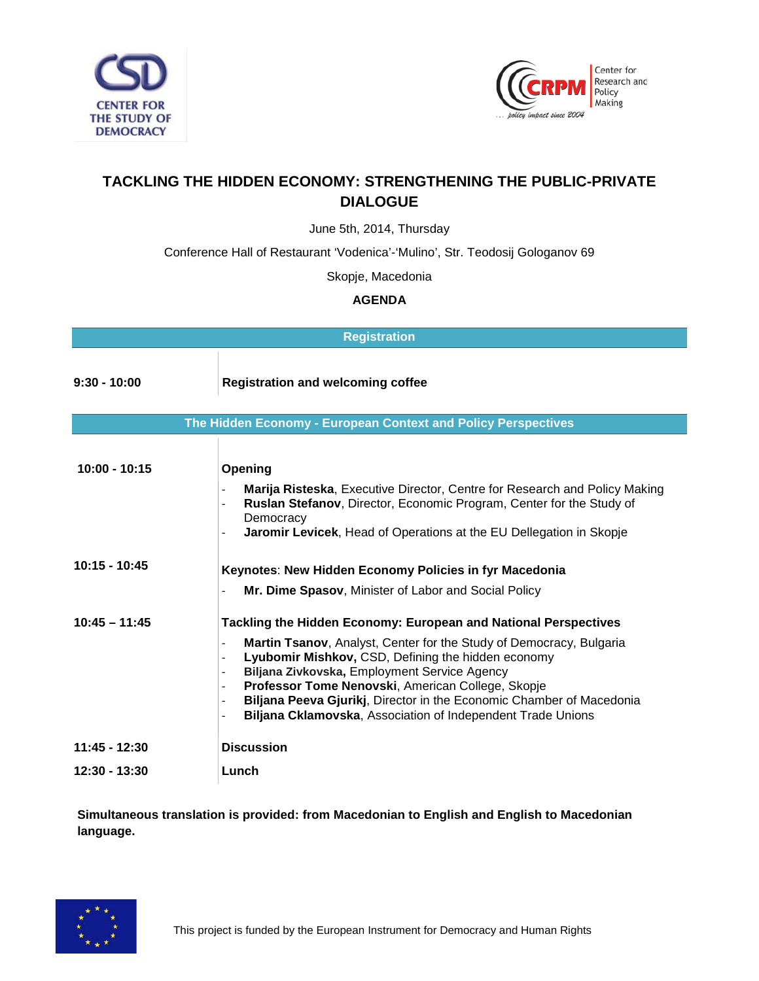



## **TACKLING THE HIDDEN ECONOMY: STRENGTHENING THE PUBLIC-PRIVATE DIALOGUE**

June 5th, 2014, Thursday

Conference Hall of Restaurant 'Vodenica'-'Mulino', Str. Teodosij Gologanov 69

Skopje, Macedonia

## **AGENDA**

| <b>Registration</b>                                           |                                                                                                                                                                                                                                                                                                                                                                                                                                                                                                                                                                                                        |  |
|---------------------------------------------------------------|--------------------------------------------------------------------------------------------------------------------------------------------------------------------------------------------------------------------------------------------------------------------------------------------------------------------------------------------------------------------------------------------------------------------------------------------------------------------------------------------------------------------------------------------------------------------------------------------------------|--|
| $9:30 - 10:00$                                                | <b>Registration and welcoming coffee</b>                                                                                                                                                                                                                                                                                                                                                                                                                                                                                                                                                               |  |
| The Hidden Economy - European Context and Policy Perspectives |                                                                                                                                                                                                                                                                                                                                                                                                                                                                                                                                                                                                        |  |
| $10:00 - 10:15$                                               | Opening<br>Marija Risteska, Executive Director, Centre for Research and Policy Making<br>Ruslan Stefanov, Director, Economic Program, Center for the Study of<br>$\overline{\phantom{a}}$<br>Democracy<br>Jaromir Levicek, Head of Operations at the EU Dellegation in Skopje<br>$\overline{\phantom{a}}$                                                                                                                                                                                                                                                                                              |  |
| $10:15 - 10:45$                                               | Keynotes: New Hidden Economy Policies in fyr Macedonia<br>Mr. Dime Spasov, Minister of Labor and Social Policy                                                                                                                                                                                                                                                                                                                                                                                                                                                                                         |  |
| $10:45 - 11:45$                                               | Tackling the Hidden Economy: European and National Perspectives<br>Martin Tsanov, Analyst, Center for the Study of Democracy, Bulgaria<br>$\overline{\phantom{a}}$<br>Lyubomir Mishkov, CSD, Defining the hidden economy<br>$\blacksquare$<br>Biljana Zivkovska, Employment Service Agency<br>$\overline{\phantom{a}}$<br>Professor Tome Nenovski, American College, Skopje<br>$\overline{\phantom{a}}$<br>Biljana Peeva Gjurikj, Director in the Economic Chamber of Macedonia<br>$\overline{\phantom{a}}$<br>Biljana Cklamovska, Association of Independent Trade Unions<br>$\overline{\phantom{a}}$ |  |
| $11:45 - 12:30$                                               | <b>Discussion</b>                                                                                                                                                                                                                                                                                                                                                                                                                                                                                                                                                                                      |  |
| 12:30 - 13:30                                                 | Lunch                                                                                                                                                                                                                                                                                                                                                                                                                                                                                                                                                                                                  |  |

**Simultaneous translation is provided: from Macedonian to English and English to Macedonian language.**